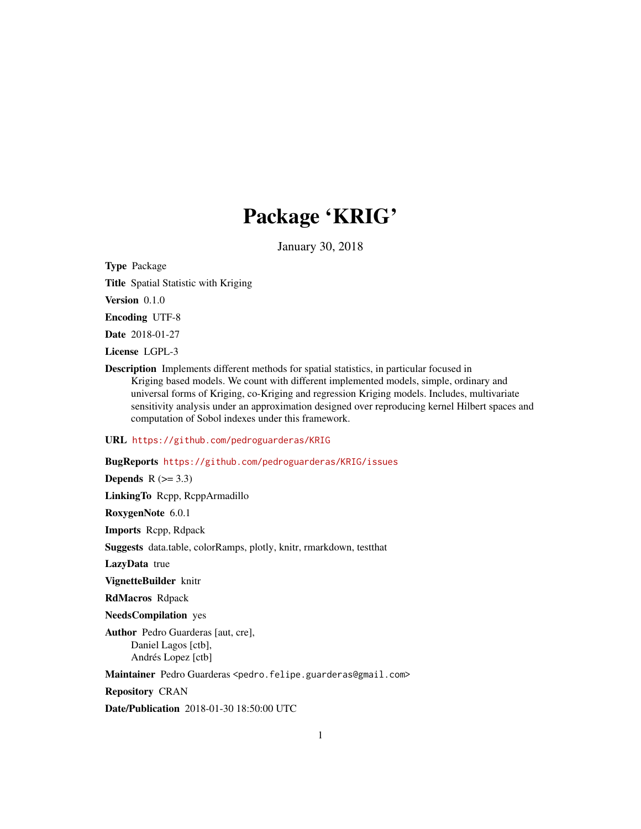# Package 'KRIG'

January 30, 2018

Type Package

Title Spatial Statistic with Kriging

Version 0.1.0

Encoding UTF-8

Date 2018-01-27

License LGPL-3

Description Implements different methods for spatial statistics, in particular focused in Kriging based models. We count with different implemented models, simple, ordinary and universal forms of Kriging, co-Kriging and regression Kriging models. Includes, multivariate sensitivity analysis under an approximation designed over reproducing kernel Hilbert spaces and computation of Sobol indexes under this framework.

# URL <https://github.com/pedroguarderas/KRIG>

BugReports <https://github.com/pedroguarderas/KRIG/issues>

Depends  $R$  ( $>= 3.3$ ) LinkingTo Rcpp, RcppArmadillo RoxygenNote 6.0.1 Imports Rcpp, Rdpack Suggests data.table, colorRamps, plotly, knitr, rmarkdown, testthat LazyData true VignetteBuilder knitr RdMacros Rdpack NeedsCompilation yes Author Pedro Guarderas [aut, cre], Daniel Lagos [ctb],

Andrés Lopez [ctb]

Maintainer Pedro Guarderas <pedro.felipe.guarderas@gmail.com>

Repository CRAN

Date/Publication 2018-01-30 18:50:00 UTC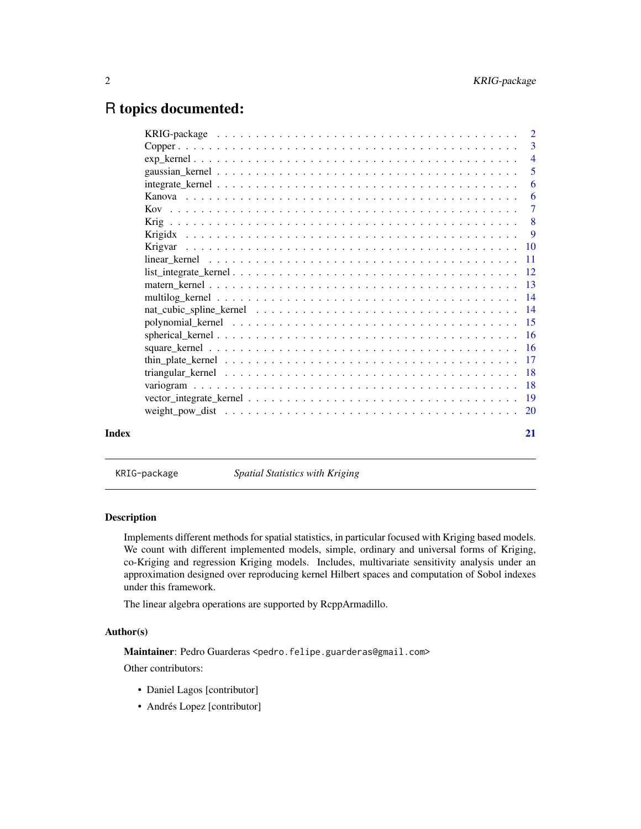# <span id="page-1-0"></span>R topics documented:

|       | 5                                                                                                                |
|-------|------------------------------------------------------------------------------------------------------------------|
|       | 6                                                                                                                |
|       | -6                                                                                                               |
|       |                                                                                                                  |
|       |                                                                                                                  |
|       |                                                                                                                  |
|       |                                                                                                                  |
|       | $linear_k$                                                                                                       |
|       | $list\_integrate\_kernel \ldots \ldots \ldots \ldots \ldots \ldots \ldots \ldots \ldots \ldots \ldots \ldots 12$ |
|       |                                                                                                                  |
|       |                                                                                                                  |
|       |                                                                                                                  |
|       |                                                                                                                  |
|       |                                                                                                                  |
|       |                                                                                                                  |
|       |                                                                                                                  |
|       |                                                                                                                  |
|       |                                                                                                                  |
|       |                                                                                                                  |
|       |                                                                                                                  |
| Index | 21                                                                                                               |
|       |                                                                                                                  |

KRIG-package *Spatial Statistics with Kriging*

#### Description

Implements different methods for spatial statistics, in particular focused with Kriging based models. We count with different implemented models, simple, ordinary and universal forms of Kriging, co-Kriging and regression Kriging models. Includes, multivariate sensitivity analysis under an approximation designed over reproducing kernel Hilbert spaces and computation of Sobol indexes under this framework.

The linear algebra operations are supported by RcppArmadillo.

#### Author(s)

Maintainer: Pedro Guarderas <pedro.felipe.guarderas@gmail.com> Other contributors:

- Daniel Lagos [contributor]
- Andrés Lopez [contributor]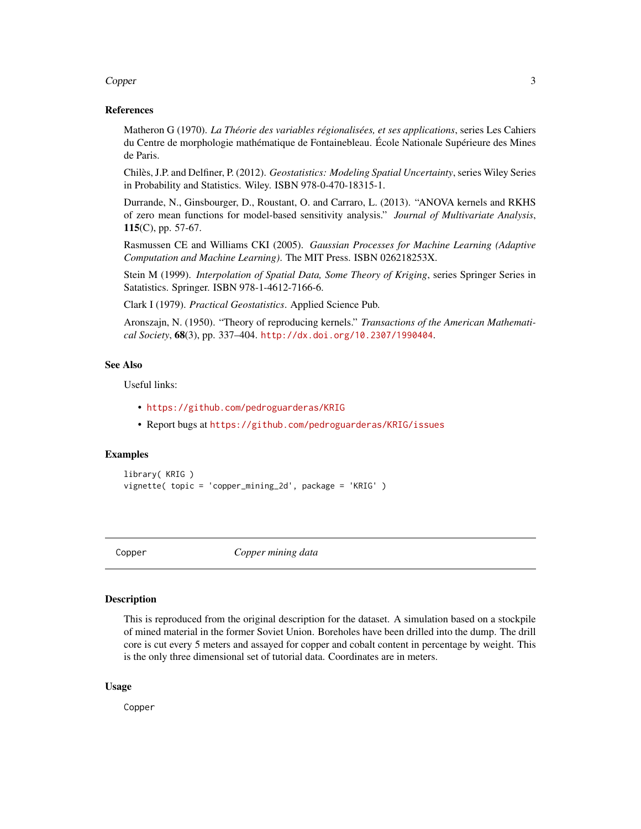#### <span id="page-2-0"></span>Copper 3

#### References

Matheron G (1970). *La Théorie des variables régionalisées, et ses applications*, series Les Cahiers du Centre de morphologie mathématique de Fontainebleau. École Nationale Supérieure des Mines de Paris.

Chilès, J.P. and Delfiner, P. (2012). *Geostatistics: Modeling Spatial Uncertainty*, series Wiley Series in Probability and Statistics. Wiley. ISBN 978-0-470-18315-1.

Durrande, N., Ginsbourger, D., Roustant, O. and Carraro, L. (2013). "ANOVA kernels and RKHS of zero mean functions for model-based sensitivity analysis." *Journal of Multivariate Analysis*, 115(C), pp. 57-67.

Rasmussen CE and Williams CKI (2005). *Gaussian Processes for Machine Learning (Adaptive Computation and Machine Learning)*. The MIT Press. ISBN 026218253X.

Stein M (1999). *Interpolation of Spatial Data, Some Theory of Kriging*, series Springer Series in Satatistics. Springer. ISBN 978-1-4612-7166-6.

Clark I (1979). *Practical Geostatistics*. Applied Science Pub.

Aronszajn, N. (1950). "Theory of reproducing kernels." *Transactions of the American Mathematical Society*, 68(3), pp. 337–404. <http://dx.doi.org/10.2307/1990404>.

#### See Also

Useful links:

- <https://github.com/pedroguarderas/KRIG>
- Report bugs at <https://github.com/pedroguarderas/KRIG/issues>

#### Examples

```
library( KRIG )
vignette( topic = 'copper_mining_2d', package = 'KRIG' )
```
Copper *Copper mining data*

#### Description

This is reproduced from the original description for the dataset. A simulation based on a stockpile of mined material in the former Soviet Union. Boreholes have been drilled into the dump. The drill core is cut every 5 meters and assayed for copper and cobalt content in percentage by weight. This is the only three dimensional set of tutorial data. Coordinates are in meters.

#### Usage

Copper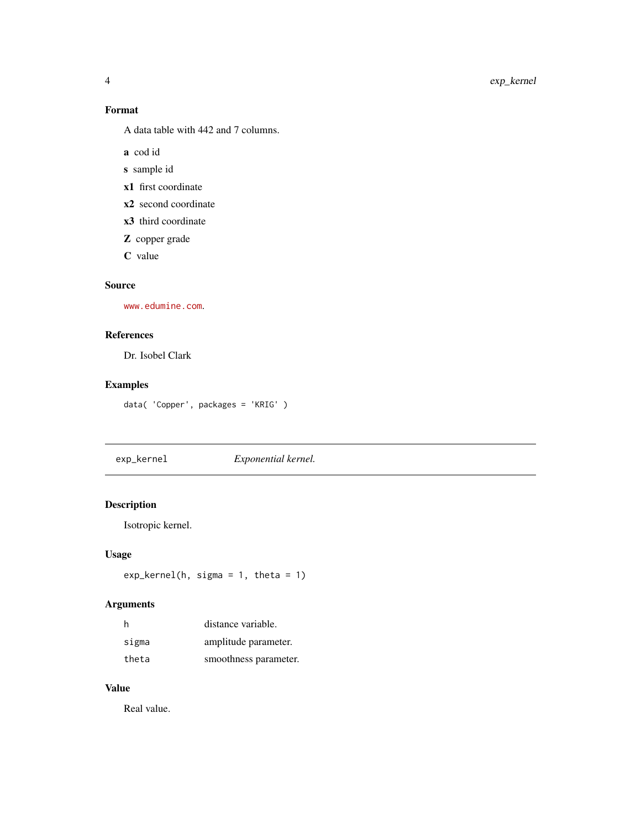# Format

A data table with 442 and 7 columns.

a cod id

- s sample id
- x1 first coordinate
- x2 second coordinate
- x3 third coordinate
- Z copper grade
- C value

# Source

<www.edumine.com>.

# References

Dr. Isobel Clark

# Examples

data( 'Copper', packages = 'KRIG' )

exp\_kernel *Exponential kernel.*

# Description

Isotropic kernel.

#### Usage

```
exp_kernel(h, sigma = 1, theta = 1)
```
# Arguments

| h     | distance variable.    |
|-------|-----------------------|
| sigma | amplitude parameter.  |
| theta | smoothness parameter. |

#### Value

Real value.

<span id="page-3-0"></span>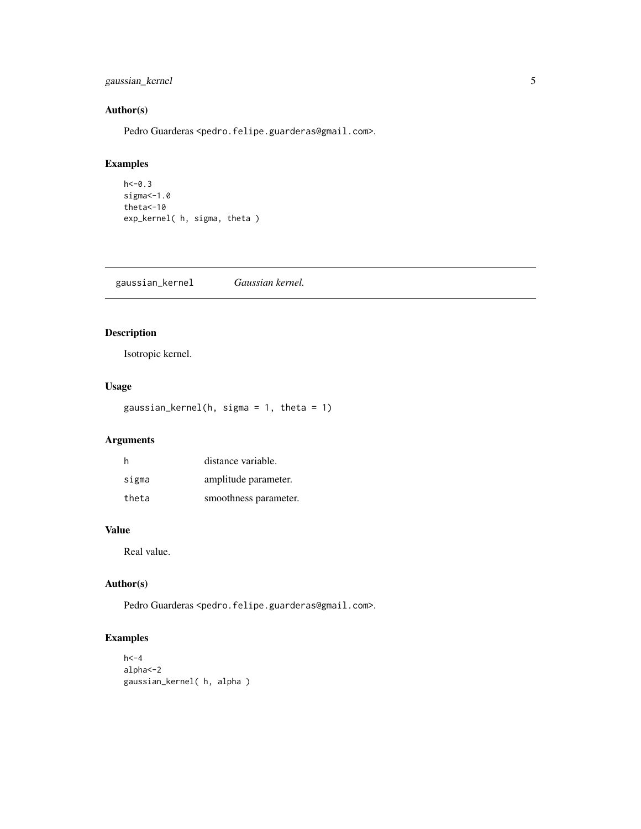# <span id="page-4-0"></span>gaussian\_kernel 5

#### Author(s)

Pedro Guarderas <pedro.felipe.guarderas@gmail.com>.

# Examples

```
h < -0.3sigma <- 1.0
theta<-10
exp_kernel( h, sigma, theta )
```
gaussian\_kernel *Gaussian kernel.*

# Description

Isotropic kernel.

# Usage

gaussian\_kernel(h, sigma = 1, theta = 1)

# Arguments

| h     | distance variable.    |
|-------|-----------------------|
| sigma | amplitude parameter.  |
| theta | smoothness parameter. |

# Value

Real value.

#### Author(s)

Pedro Guarderas <pedro.felipe.guarderas@gmail.com>.

# Examples

```
h < -4alpha<-2
gaussian_kernel( h, alpha )
```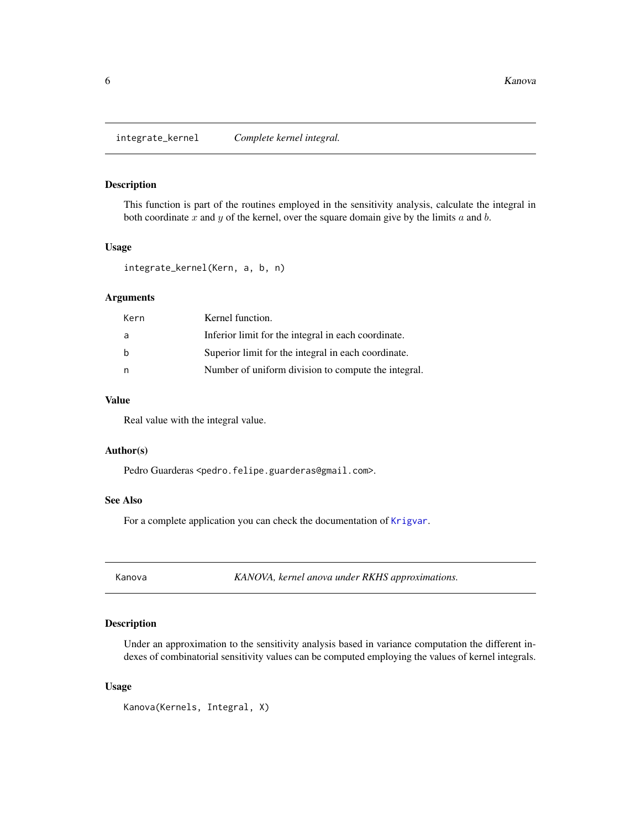<span id="page-5-0"></span>integrate\_kernel *Complete kernel integral.*

# **Description**

This function is part of the routines employed in the sensitivity analysis, calculate the integral in both coordinate  $x$  and  $y$  of the kernel, over the square domain give by the limits  $a$  and  $b$ .

#### Usage

```
integrate_kernel(Kern, a, b, n)
```
#### Arguments

| Kern | Kernel function.                                    |
|------|-----------------------------------------------------|
| a    | Inferior limit for the integral in each coordinate. |
| b    | Superior limit for the integral in each coordinate. |
| n    | Number of uniform division to compute the integral. |

#### Value

Real value with the integral value.

#### Author(s)

Pedro Guarderas <pedro.felipe.guarderas@gmail.com>.

#### See Also

For a complete application you can check the documentation of [Krigvar](#page-9-1).

Kanova *KANOVA, kernel anova under RKHS approximations.*

#### Description

Under an approximation to the sensitivity analysis based in variance computation the different indexes of combinatorial sensitivity values can be computed employing the values of kernel integrals.

#### Usage

Kanova(Kernels, Integral, X)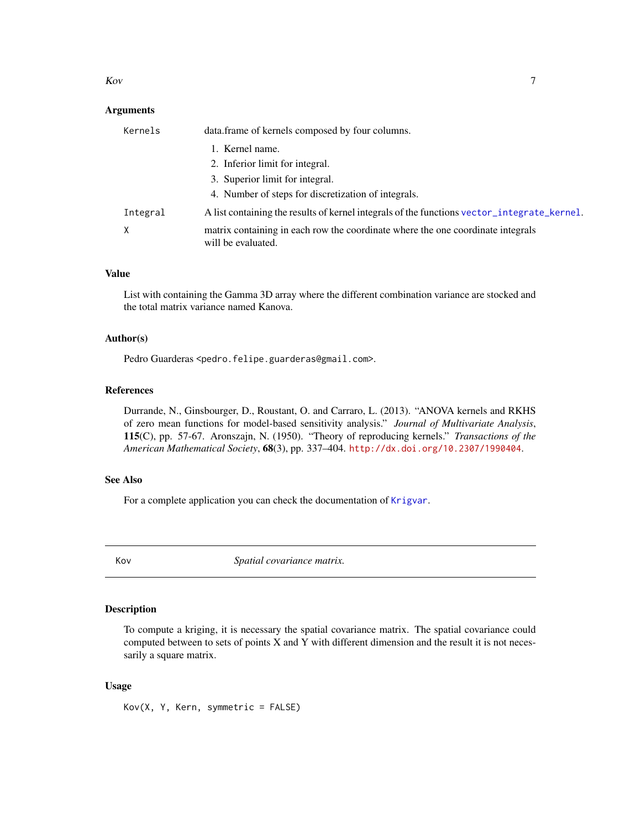#### <span id="page-6-0"></span>Kov 5. The state of the state of the state of the state of the state of the state of the state of the state of the state of the state of the state of the state of the state of the state of the state of the state of the sta

#### **Arguments**

| Kernels  | data.frame of kernels composed by four columns.                                                       |
|----------|-------------------------------------------------------------------------------------------------------|
|          | 1. Kernel name.                                                                                       |
|          | 2. Inferior limit for integral.                                                                       |
|          | 3. Superior limit for integral.                                                                       |
|          | 4. Number of steps for discretization of integrals.                                                   |
| Integral | A list containing the results of kernel integrals of the functions vector_integrate_kernel.           |
| X        | matrix containing in each row the coordinate where the one coordinate integrals<br>will be evaluated. |

#### Value

List with containing the Gamma 3D array where the different combination variance are stocked and the total matrix variance named Kanova.

#### Author(s)

Pedro Guarderas <pedro.felipe.guarderas@gmail.com>.

#### References

Durrande, N., Ginsbourger, D., Roustant, O. and Carraro, L. (2013). "ANOVA kernels and RKHS of zero mean functions for model-based sensitivity analysis." *Journal of Multivariate Analysis*, 115(C), pp. 57-67. Aronszajn, N. (1950). "Theory of reproducing kernels." *Transactions of the American Mathematical Society*, 68(3), pp. 337–404. <http://dx.doi.org/10.2307/1990404>.

# See Also

For a complete application you can check the documentation of [Krigvar](#page-9-1).

Kov *Spatial covariance matrix.*

#### Description

To compute a kriging, it is necessary the spatial covariance matrix. The spatial covariance could computed between to sets of points X and Y with different dimension and the result it is not necessarily a square matrix.

# Usage

Kov(X, Y, Kern, symmetric = FALSE)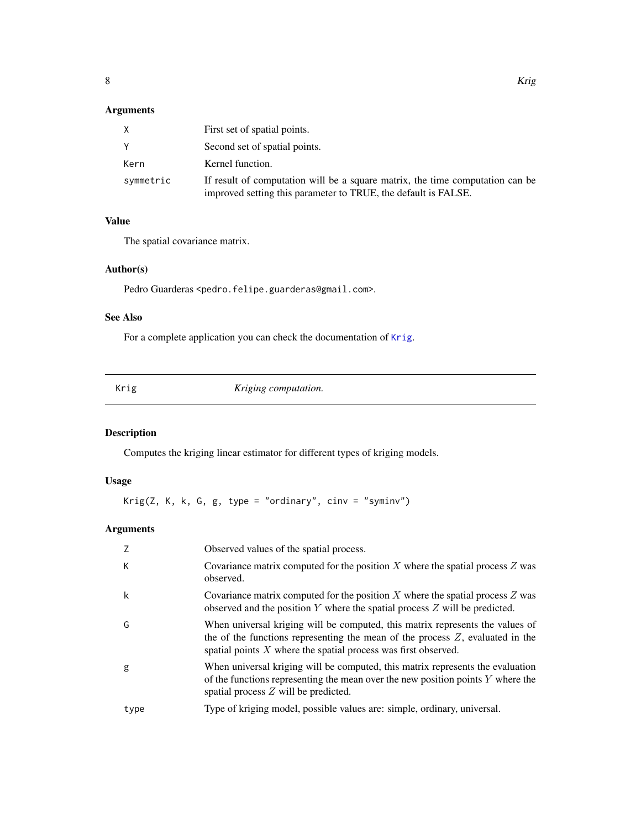# <span id="page-7-0"></span>Arguments

|           | First set of spatial points.                                                                                                                    |
|-----------|-------------------------------------------------------------------------------------------------------------------------------------------------|
|           | Second set of spatial points.                                                                                                                   |
| Kern      | Kernel function.                                                                                                                                |
| symmetric | If result of computation will be a square matrix, the time computation can be<br>improved setting this parameter to TRUE, the default is FALSE. |

#### Value

The spatial covariance matrix.

#### Author(s)

Pedro Guarderas <pedro.felipe.guarderas@gmail.com>.

# See Also

For a complete application you can check the documentation of [Krig](#page-7-1).

<span id="page-7-1"></span>

| Krig | Kriging computation. |  |
|------|----------------------|--|

# Description

Computes the kriging linear estimator for different types of kriging models.

# Usage

Krig(Z, K, k, G, g, type = "ordinary",  $cinv = "syminv")$ 

# Arguments

|      | Observed values of the spatial process.                                                                                                                                                                                               |
|------|---------------------------------------------------------------------------------------------------------------------------------------------------------------------------------------------------------------------------------------|
| К    | Covariance matrix computed for the position X where the spatial process $Z$ was<br>observed.                                                                                                                                          |
| k    | Covariance matrix computed for the position $X$ where the spatial process $Z$ was<br>observed and the position $Y$ where the spatial process $Z$ will be predicted.                                                                   |
| G    | When universal kriging will be computed, this matrix represents the values of<br>the of the functions representing the mean of the process $Z$ , evaluated in the<br>spatial points $X$ where the spatial process was first observed. |
| g    | When universal kriging will be computed, this matrix represents the evaluation<br>of the functions representing the mean over the new position points $Y$ where the<br>spatial process $Z$ will be predicted.                         |
| type | Type of kriging model, possible values are: simple, ordinary, universal.                                                                                                                                                              |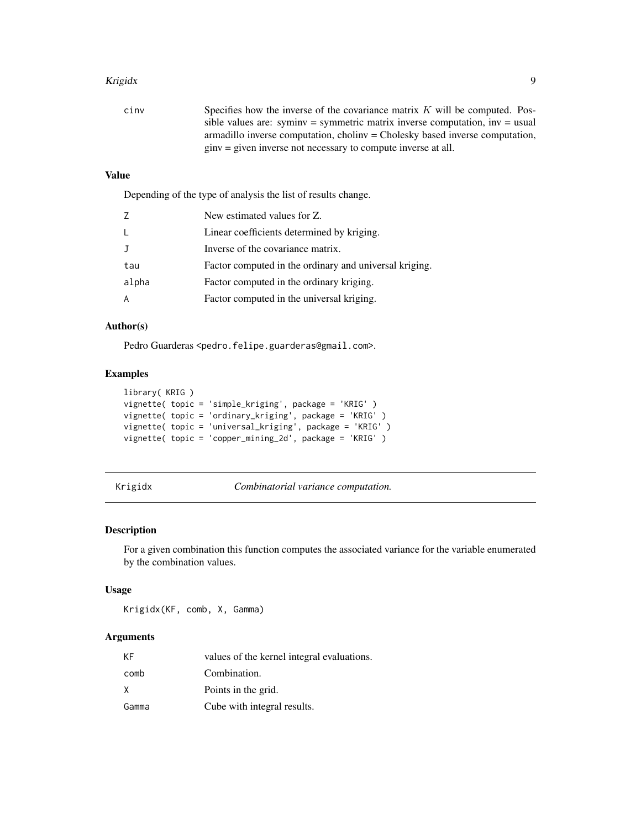#### <span id="page-8-0"></span>Krigidx 9

| cinv | Specifies how the inverse of the covariance matrix $K$ will be computed. Pos- |
|------|-------------------------------------------------------------------------------|
|      | sible values are: syminy = symmetric matrix inverse computation, inv = usual  |
|      | armadillo inverse computation, choliny = Cholesky based inverse computation,  |
|      | $\sin v =$ given inverse not necessary to compute inverse at all.             |

# Value

Depending of the type of analysis the list of results change.

| 7       | New estimated values for Z.                            |
|---------|--------------------------------------------------------|
| $\perp$ | Linear coefficients determined by kriging.             |
| - T     | Inverse of the covariance matrix.                      |
| tau     | Factor computed in the ordinary and universal kriging. |
| alpha   | Factor computed in the ordinary kriging.               |
| A       | Factor computed in the universal kriging.              |

#### Author(s)

Pedro Guarderas <pedro.felipe.guarderas@gmail.com>.

# Examples

```
library( KRIG )
vignette( topic = 'simple_kriging', package = 'KRIG' )
vignette( topic = 'ordinary_kriging', package = 'KRIG' )
vignette( topic = 'universal_kriging', package = 'KRIG' )
vignette( topic = 'copper_mining_2d', package = 'KRIG' )
```
Krigidx *Combinatorial variance computation.*

#### Description

For a given combination this function computes the associated variance for the variable enumerated by the combination values.

#### Usage

Krigidx(KF, comb, X, Gamma)

#### Arguments

| ΚF    | values of the kernel integral evaluations. |
|-------|--------------------------------------------|
| comb  | Combination.                               |
| x     | Points in the grid.                        |
| Gamma | Cube with integral results.                |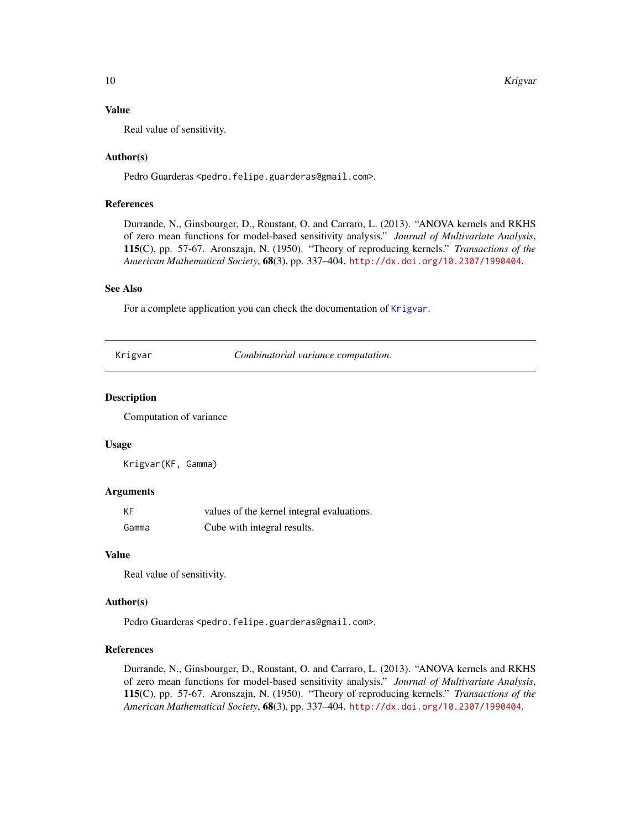#### <span id="page-9-0"></span>Value

Real value of sensitivity.

#### Author(s)

Pedro Guarderas <pedro.felipe.guarderas@gmail.com>.

#### References

Durrande, N., Ginsbourger, D., Roustant, O. and Carraro, L. (2013). "ANOVA kernels and RKHS of zero mean functions for model-based sensitivity analysis." *Journal of Multivariate Analysis*, 115(C), pp. 57-67. Aronszajn, N. (1950). "Theory of reproducing kernels." *Transactions of the American Mathematical Society*, 68(3), pp. 337–404. <http://dx.doi.org/10.2307/1990404>.

#### See Also

For a complete application you can check the documentation of [Krigvar](#page-9-1).

<span id="page-9-1"></span>Krigvar *Combinatorial variance computation.*

#### Description

Computation of variance

#### Usage

Krigvar(KF, Gamma)

#### Arguments

| KF    | values of the kernel integral evaluations. |
|-------|--------------------------------------------|
| Gamma | Cube with integral results.                |

#### Value

Real value of sensitivity.

#### Author(s)

Pedro Guarderas <pedro.felipe.guarderas@gmail.com>.

#### References

Durrande, N., Ginsbourger, D., Roustant, O. and Carraro, L. (2013). "ANOVA kernels and RKHS of zero mean functions for model-based sensitivity analysis." *Journal of Multivariate Analysis*, 115(C), pp. 57-67. Aronszajn, N. (1950). "Theory of reproducing kernels." *Transactions of the American Mathematical Society*, 68(3), pp. 337–404. <http://dx.doi.org/10.2307/1990404>.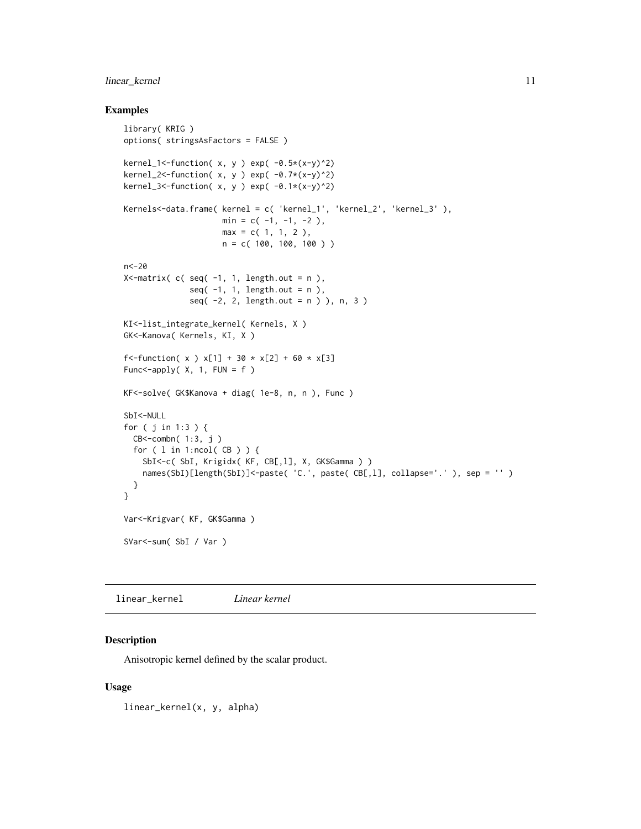# <span id="page-10-0"></span>linear\_kernel 11

#### Examples

```
library( KRIG )
options( stringsAsFactors = FALSE )
kernel_1 <- function( x, y ) exp( -0.5*(x-y)^2)
kernel_2<-function(x, y) exp(-0.7*(x-y)^2)
kernel_3<-function(x, y) exp(-0.1*(x-y)^2)
Kernels<-data.frame( kernel = c( 'kernel_1', 'kernel_2', 'kernel_3' ),
                          min = c(-1, -1, -2),
                          max = c(1, 1, 2),n = c( 100, 100, 100 ) )
n<-20
X \le \lceil N \rceil \le \lceil N \rceil \le \lceil N \rceil \le \lceil N \rceil \le \lceil N \rceil \le \lceil N \rceil \le \lceil N \rceil \le \lceil N \rceil \le \lceil N \rceil \le \lceil N \rceil \le \lceil N \rceil \le \lceil N \rceil \le \lceil N \rceil \le \lceil N \rceil \le \seq(-1, 1, length.out = n ),
                  seq(-2, 2, length.out = n ) ), n, 3 )
KI<-list_integrate_kernel( Kernels, X )
GK<-Kanova( Kernels, KI, X )
f<-function( x ) x[1] + 30 \times x[2] + 60 \times x[3]Func<-apply(X, 1, FUN = f )
KF<-solve( GK$Kanova + diag( 1e-8, n, n ), Func )
SbI<-NULL
for ( j in 1:3 ) {
  CB<-combn( 1:3, j )
  for ( l in 1:ncol( CB ) ) {
    SbI<-c( SbI, Krigidx( KF, CB[,l], X, GK$Gamma ) )
    names(SbI)[length(SbI)]<-paste( 'C.', paste( CB[,1], collapse='.' ), sep = '' )
  }
}
Var<-Krigvar( KF, GK$Gamma )
SVar<-sum( SbI / Var )
```
linear\_kernel *Linear kernel*

#### Description

Anisotropic kernel defined by the scalar product.

#### Usage

linear\_kernel(x, y, alpha)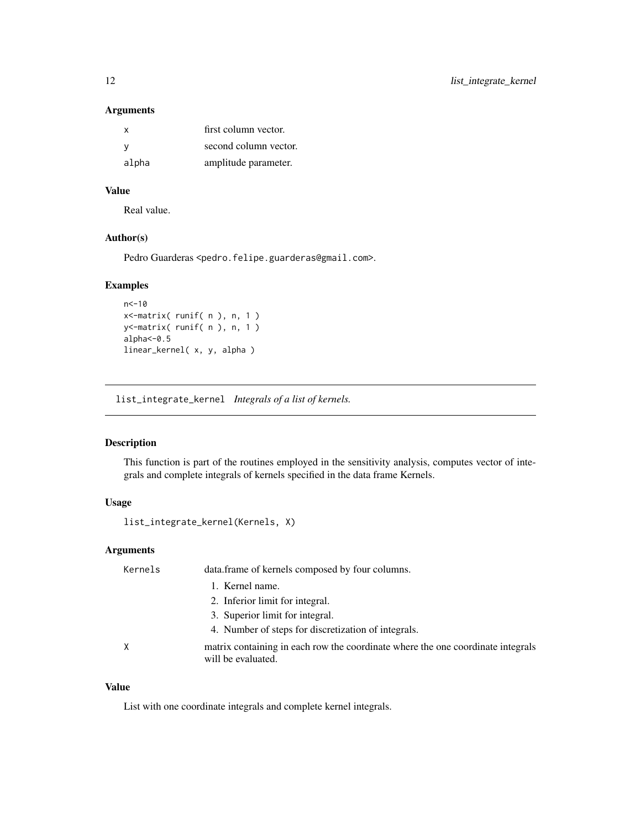#### Arguments

| x     | first column vector.  |
|-------|-----------------------|
| - V   | second column vector. |
| alpha | amplitude parameter.  |

# Value

Real value.

# Author(s)

Pedro Guarderas <pedro.felipe.guarderas@gmail.com>.

# Examples

```
n<-10
x<-matrix( runif( n ), n, 1 )
y<-matrix( runif( n ), n, 1 )
alpha<-0.5
linear_kernel( x, y, alpha )
```
list\_integrate\_kernel *Integrals of a list of kernels.*

# Description

This function is part of the routines employed in the sensitivity analysis, computes vector of integrals and complete integrals of kernels specified in the data frame Kernels.

# Usage

list\_integrate\_kernel(Kernels, X)

# Arguments

| Kernels | data.frame of kernels composed by four columns.                                                       |
|---------|-------------------------------------------------------------------------------------------------------|
|         | 1. Kernel name.                                                                                       |
|         | 2. Inferior limit for integral.                                                                       |
|         | 3. Superior limit for integral.                                                                       |
|         | 4. Number of steps for discretization of integrals.                                                   |
| Χ       | matrix containing in each row the coordinate where the one coordinate integrals<br>will be evaluated. |

# Value

List with one coordinate integrals and complete kernel integrals.

<span id="page-11-0"></span>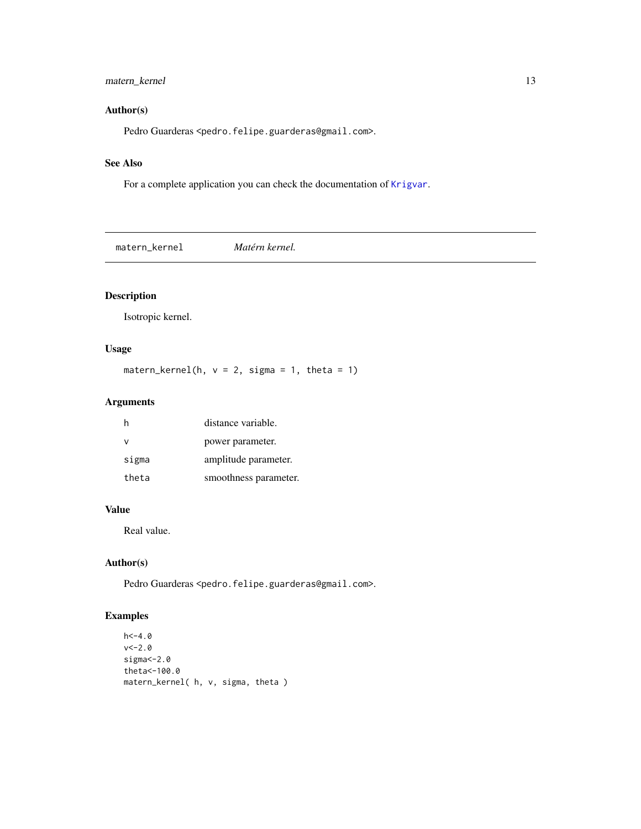# <span id="page-12-0"></span>matern\_kernel 13

# Author(s)

Pedro Guarderas <pedro.felipe.guarderas@gmail.com>.

#### See Also

For a complete application you can check the documentation of [Krigvar](#page-9-1).

matern\_kernel *Matérn kernel.*

# Description

Isotropic kernel.

# Usage

matern\_kernel(h,  $v = 2$ , sigma = 1, theta = 1)

# Arguments

|       | distance variable.    |
|-------|-----------------------|
| ν     | power parameter.      |
| sigma | amplitude parameter.  |
| theta | smoothness parameter. |

#### Value

Real value.

# Author(s)

Pedro Guarderas <pedro.felipe.guarderas@gmail.com>.

# Examples

```
h < -4.0v < -2.0sigma <- 2.0
theta<-100.0
matern_kernel( h, v, sigma, theta )
```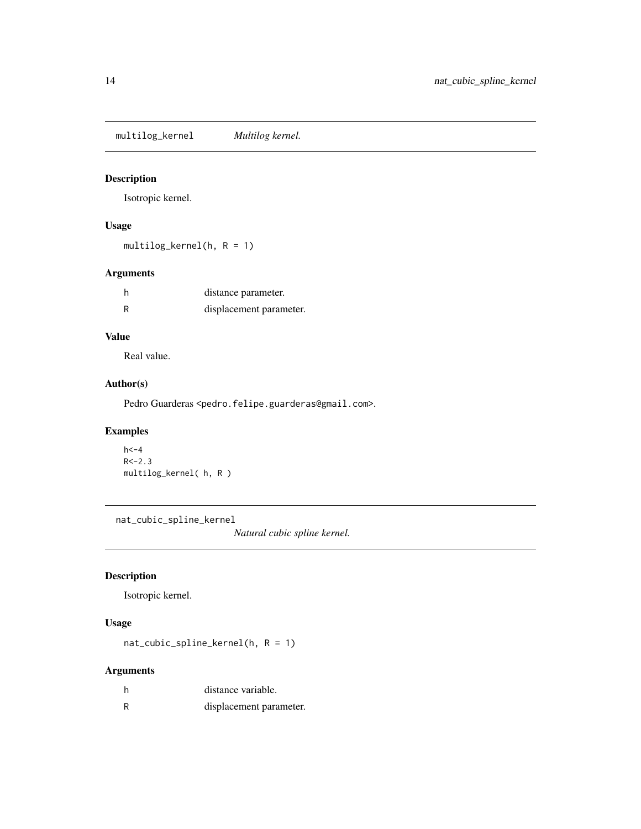<span id="page-13-0"></span>multilog\_kernel *Multilog kernel.*

# Description

Isotropic kernel.

# Usage

multilog\_kernel(h, R = 1)

# Arguments

| h | distance parameter.     |
|---|-------------------------|
| R | displacement parameter. |

# Value

Real value.

#### Author(s)

Pedro Guarderas <pedro.felipe.guarderas@gmail.com>.

# Examples

```
h < -4R < -2.3multilog_kernel( h, R )
```
nat\_cubic\_spline\_kernel

*Natural cubic spline kernel.*

# Description

Isotropic kernel.

# Usage

nat\_cubic\_spline\_kernel(h, R = 1)

# Arguments

| distance variable.      |
|-------------------------|
| displacement parameter. |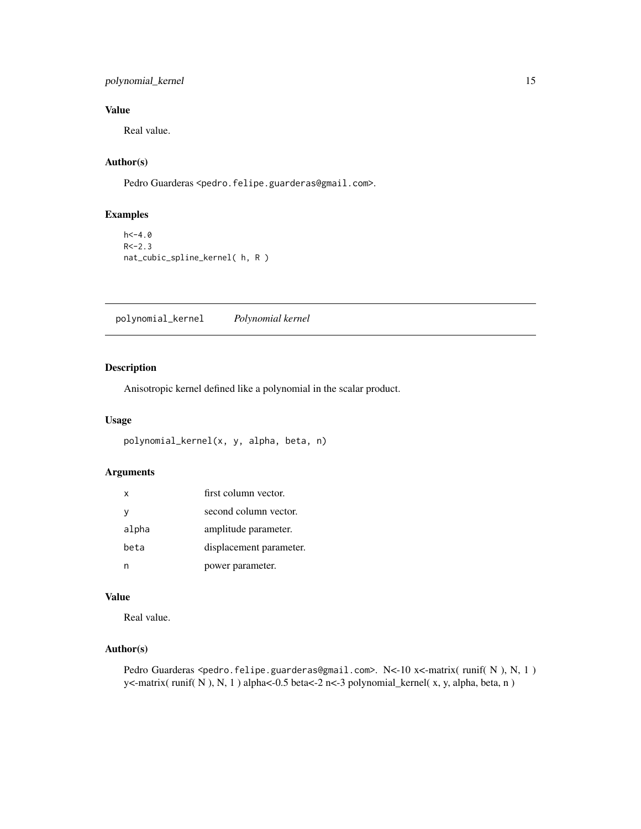# <span id="page-14-0"></span>polynomial\_kernel 15

# Value

Real value.

# Author(s)

Pedro Guarderas <pedro.felipe.guarderas@gmail.com>.

#### Examples

 $h < -4.0$  $R < -2.3$ nat\_cubic\_spline\_kernel( h, R )

polynomial\_kernel *Polynomial kernel*

# Description

Anisotropic kernel defined like a polynomial in the scalar product.

#### Usage

```
polynomial_kernel(x, y, alpha, beta, n)
```
#### Arguments

| $\mathsf{x}$ | first column vector.    |
|--------------|-------------------------|
| y            | second column vector.   |
| alpha        | amplitude parameter.    |
| beta         | displacement parameter. |
|              | power parameter.        |

#### Value

Real value.

#### Author(s)

Pedro Guarderas <pedro.felipe.guarderas@gmail.com>. N<-10 x<-matrix( runif( N ), N, 1 ) y<-matrix( runif( N ), N, 1 ) alpha<-0.5 beta<-2 n<-3 polynomial\_kernel( x, y, alpha, beta, n )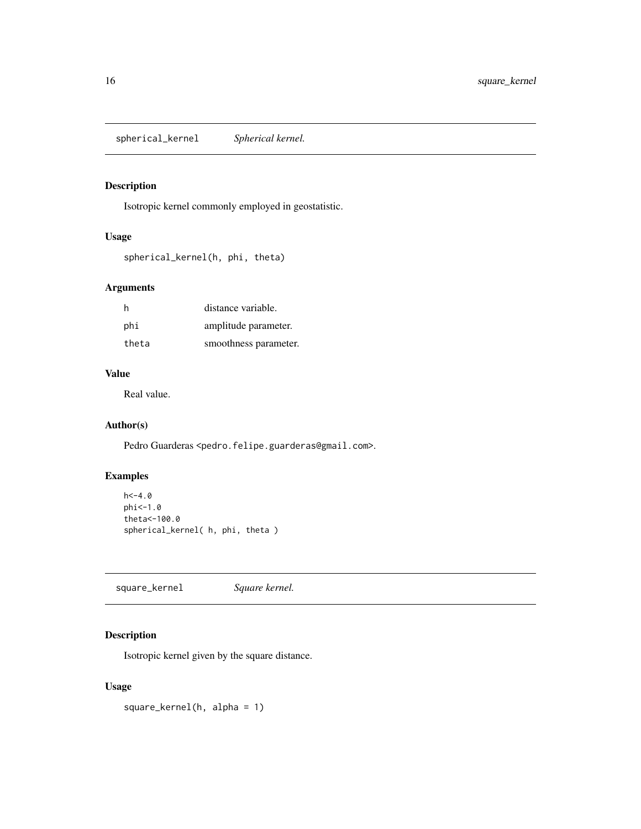<span id="page-15-0"></span>spherical\_kernel *Spherical kernel.*

# Description

Isotropic kernel commonly employed in geostatistic.

#### Usage

```
spherical_kernel(h, phi, theta)
```
# Arguments

| h     | distance variable.    |
|-------|-----------------------|
| phi   | amplitude parameter.  |
| theta | smoothness parameter. |

# Value

Real value.

# Author(s)

Pedro Guarderas <pedro.felipe.guarderas@gmail.com>.

# Examples

```
h < -4.0phi<-1.0
theta<-100.0
spherical_kernel( h, phi, theta )
```
square\_kernel *Square kernel.*

# Description

Isotropic kernel given by the square distance.

#### Usage

square\_kernel(h, alpha = 1)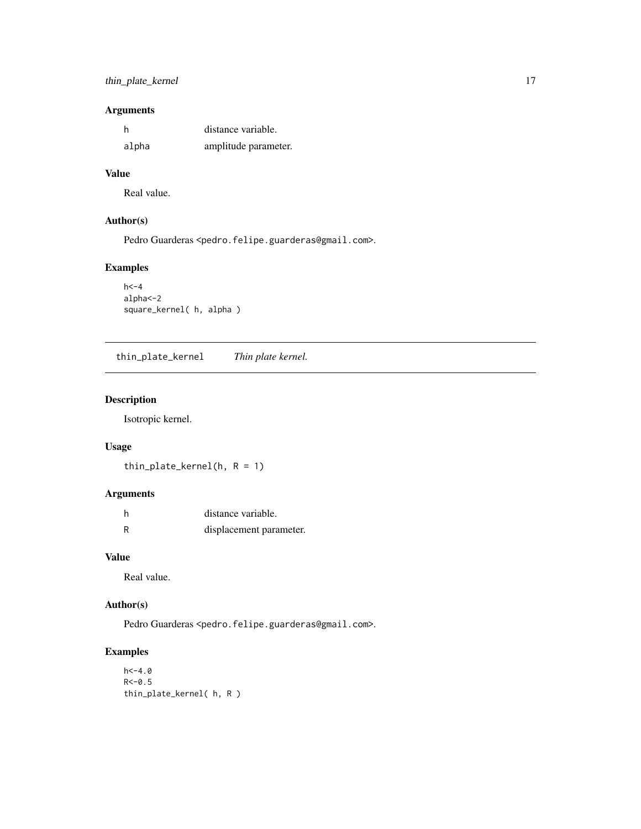# <span id="page-16-0"></span>thin\_plate\_kernel 17

# Arguments

| - h   | distance variable.   |
|-------|----------------------|
| alpha | amplitude parameter. |

# Value

Real value.

#### Author(s)

Pedro Guarderas <pedro.felipe.guarderas@gmail.com>.

# Examples

```
h < -4alpha<-2
square_kernel( h, alpha )
```
thin\_plate\_kernel *Thin plate kernel.*

# Description

Isotropic kernel.

# Usage

thin\_plate\_kernel(h,  $R = 1$ )

# Arguments

|   | distance variable.      |
|---|-------------------------|
| R | displacement parameter. |

#### Value

Real value.

# Author(s)

Pedro Guarderas <pedro.felipe.guarderas@gmail.com>.

# Examples

```
h < -4.0R < -0.5thin_plate_kernel( h, R )
```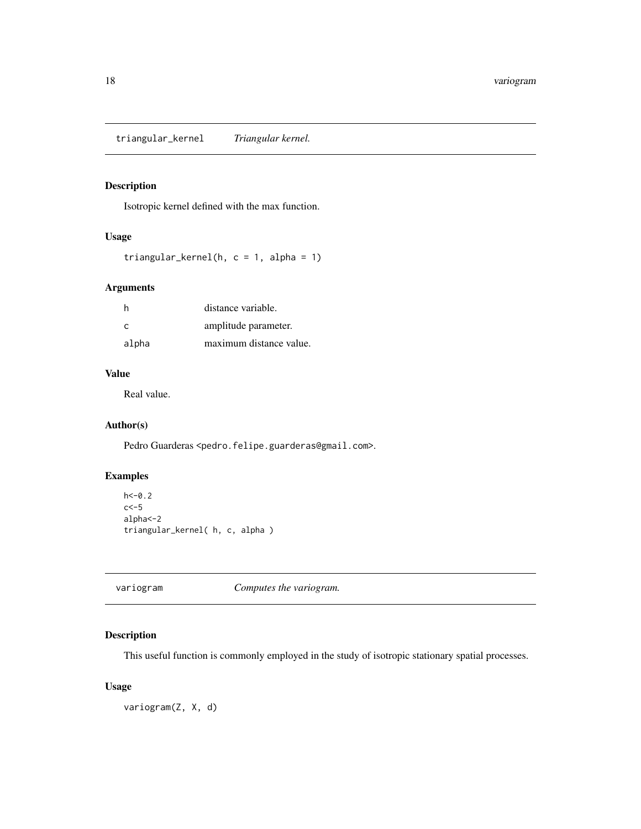<span id="page-17-0"></span>triangular\_kernel *Triangular kernel.*

# Description

Isotropic kernel defined with the max function.

#### Usage

```
triangular_kernel(h, c = 1, alpha = 1)
```
# Arguments

| h     | distance variable.      |
|-------|-------------------------|
| C     | amplitude parameter.    |
| alpha | maximum distance value. |

# Value

Real value.

# Author(s)

Pedro Guarderas <pedro.felipe.guarderas@gmail.com>.

# Examples

```
h < -0.2c<-5
alpha<-2
triangular_kernel( h, c, alpha )
```
variogram *Computes the variogram.*

# Description

This useful function is commonly employed in the study of isotropic stationary spatial processes.

#### Usage

variogram(Z, X, d)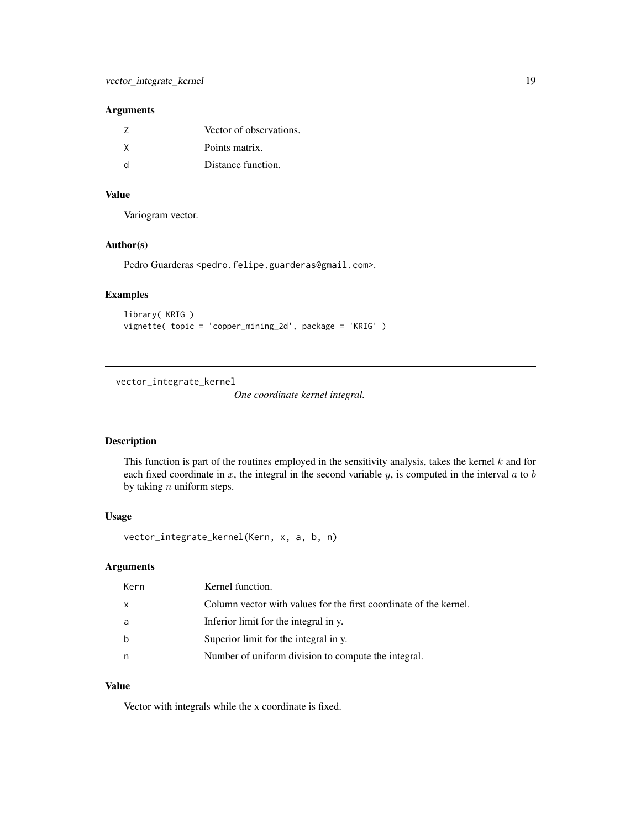#### <span id="page-18-0"></span>Arguments

| 7 | Vector of observations. |
|---|-------------------------|
| X | Points matrix.          |
| d | Distance function.      |

# Value

Variogram vector.

#### Author(s)

Pedro Guarderas <pedro.felipe.guarderas@gmail.com>.

#### Examples

```
library( KRIG )
vignette( topic = 'copper_mining_2d', package = 'KRIG' )
```
<span id="page-18-1"></span>vector\_integrate\_kernel

*One coordinate kernel integral.*

#### Description

This function is part of the routines employed in the sensitivity analysis, takes the kernel  $k$  and for each fixed coordinate in x, the integral in the second variable y, is computed in the interval  $a$  to  $b$ by taking  $n$  uniform steps.

#### Usage

vector\_integrate\_kernel(Kern, x, a, b, n)

# Arguments

| Kern | Kernel function.                                                  |
|------|-------------------------------------------------------------------|
| X    | Column vector with values for the first coordinate of the kernel. |
| a    | Inferior limit for the integral in y.                             |
| b    | Superior limit for the integral in y.                             |
| n    | Number of uniform division to compute the integral.               |

# Value

Vector with integrals while the x coordinate is fixed.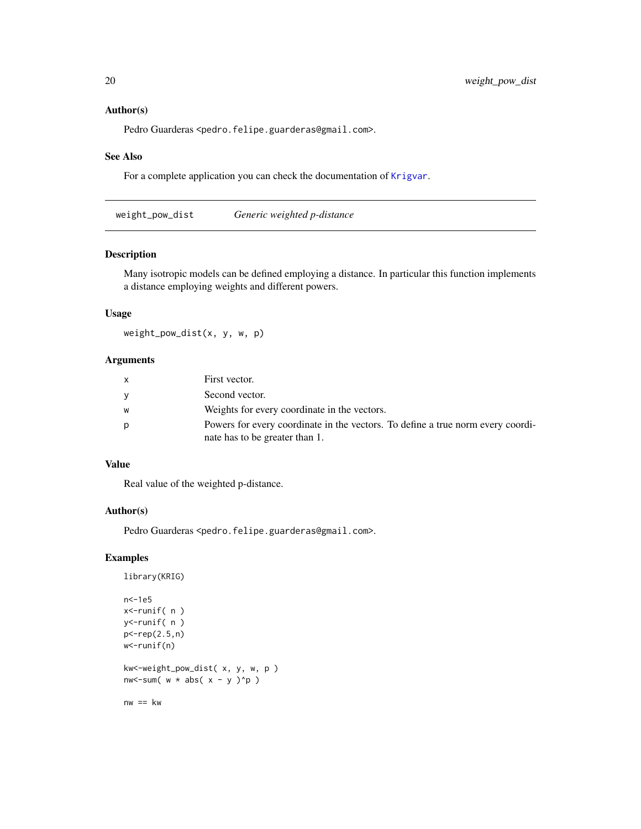#### Author(s)

Pedro Guarderas <pedro.felipe.guarderas@gmail.com>.

#### See Also

For a complete application you can check the documentation of [Krigvar](#page-9-1).

weight\_pow\_dist *Generic weighted p-distance*

#### Description

Many isotropic models can be defined employing a distance. In particular this function implements a distance employing weights and different powers.

#### Usage

weight\_pow\_dist(x, y, w, p)

# Arguments

|   | First vector.                                                                   |
|---|---------------------------------------------------------------------------------|
| V | Second vector.                                                                  |
| W | Weights for every coordinate in the vectors.                                    |
| p | Powers for every coordinate in the vectors. To define a true norm every coordi- |
|   | nate has to be greater than 1.                                                  |

#### Value

Real value of the weighted p-distance.

#### Author(s)

Pedro Guarderas <pedro.felipe.guarderas@gmail.com>.

#### Examples

```
library(KRIG)
```

```
n<-1e5
x<-runif( n )
y<-runif( n )
p<-rep(2.5,n)
w<-runif(n)
kw<-weight_pow_dist( x, y, w, p )
```
nw<-sum(  $w * abs(x - y)^{n}$ )

 $nw == kw$ 

<span id="page-19-0"></span>